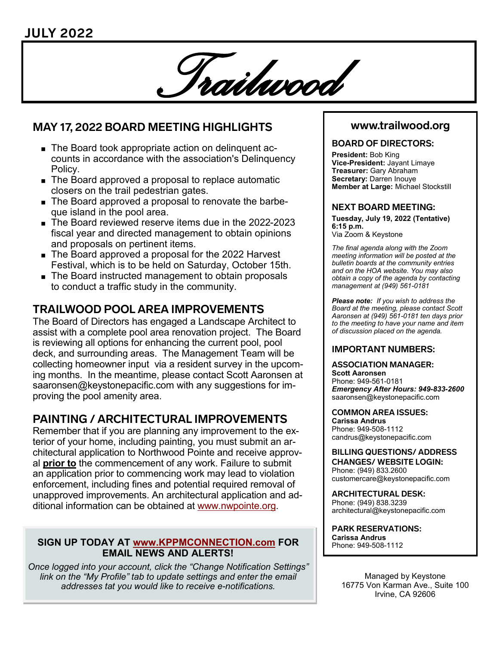

# **MAY 17, 2022 BOARD MEETING HIGHLIGHTS**

- The Board took appropriate action on delinquent accounts in accordance with the association's Delinquency Policy.
- The Board approved a proposal to replace automatic closers on the trail pedestrian gates.
- The Board approved a proposal to renovate the barbeque island in the pool area.
- The Board reviewed reserve items due in the 2022-2023 fiscal year and directed management to obtain opinions and proposals on pertinent items.
- The Board approved a proposal for the 2022 Harvest Festival, which is to be held on Saturday, October 15th.
- The Board instructed management to obtain proposals to conduct a traffic study in the community.

# **TRAILWOOD POOL AREA IMPROVEMENTS**

The Board of Directors has engaged a Landscape Architect to assist with a complete pool area renovation project. The Board is reviewing all options for enhancing the current pool, pool deck, and surrounding areas. The Management Team will be collecting homeowner input via a resident survey in the upcoming months. In the meantime, please contact Scott Aaronsen at saaronsen@keystonepacific.com with any suggestions for improving the pool amenity area.

# **PAINTING / ARCHITECTURAL IMPROVEMENTS**

Remember that if you are planning any improvement to the exterior of your home, including painting, you must submit an architectural application to Northwood Pointe and receive approval **prior to** the commencement of any work. Failure to submit an application prior to commencing work may lead to violation enforcement, including fines and potential required removal of unapproved improvements. An architectural application and additional information can be obtained at [www.nwpointe.org.](http://www.nwpointe.org)

### **SIGN UP TODAY AT [www.KPPMCONNECTION.com](http://www.KPPMCONNECTION.com) FOR EMAIL NEWS AND ALERTS!**

*Once logged into your account, click the "Change Notification Settings" link on the "My Profile" tab to update settings and enter the email addresses tat you would like to receive e-notifications.* 

## **www.trailwood.org**

### **BOARD OF DIRECTORS:**

**President:** Bob King **Vice-President:** Jayant Limaye **Treasurer:** Gary Abraham **Secretary:** Darren Inouye **Member at Large:** Michael Stockstill

#### **NEXT BOARD MEETING:**

**Tuesday, July 19, 2022 (Tentative) 6:15 p.m.** Via Zoom & Keystone

*The final agenda along with the Zoom meeting information will be posted at the bulletin boards at the community entries and on the HOA website. You may also obtain a copy of the agenda by contacting management at (949) 561-0181*

*Please note: If you wish to address the Board at the meeting, please contact Scott Aaronsen at (949) 561-0181 ten days prior to the meeting to have your name and item of discussion placed on the agenda.*

### **IMPORTANT NUMBERS:**

#### **ASSOCIATION MANAGER: Scott Aaronsen**

Phone: 949-561-0181 *Emergency After Hours: 949-833-2600* saaronsen@keystonepacific.com

#### **COMMON AREA ISSUES:**

**Carissa Andrus** Phone: 949-508-1112 candrus@keystonepacific.com

#### **BILLING QUESTIONS/ ADDRESS CHANGES/ WEBSITE LOGIN:** Phone: (949) 833.2600 customercare@keystonepacific.com

**ARCHITECTURAL DESK:** Phone: (949) 838.3239 architectural@keystonepacific.com

**PARK RESERVATIONS: Carissa Andrus** Phone: 949-508-1112

> Managed by Keystone 16775 Von Karman Ave., Suite 100 Irvine, CA 92606